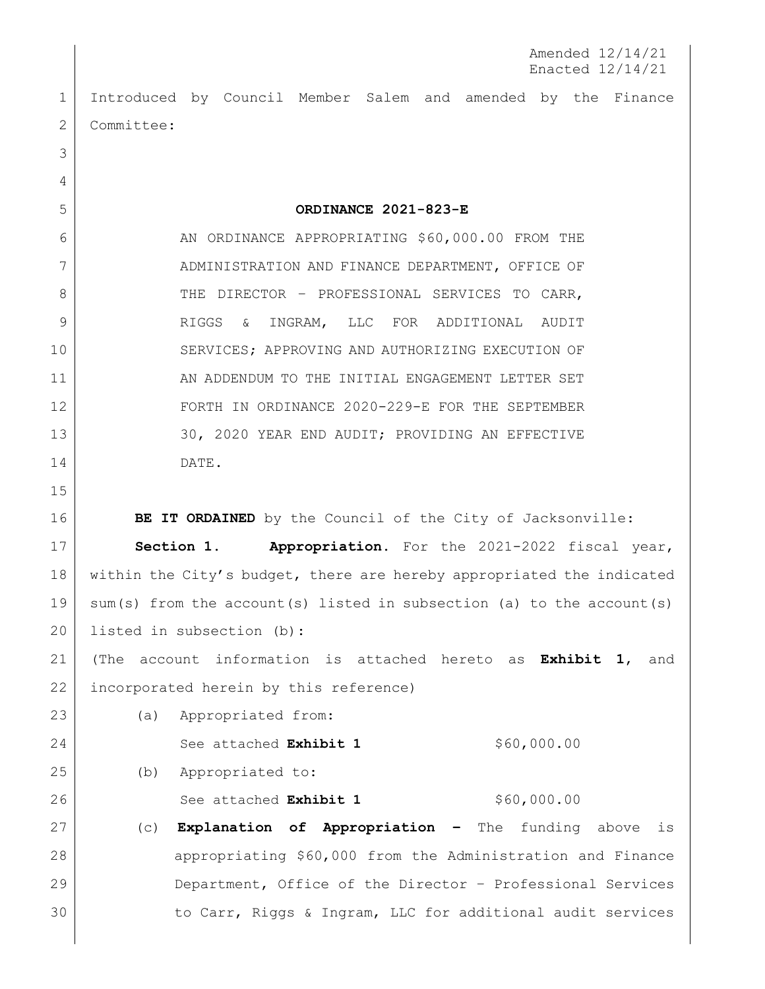Amended 12/14/21 Enacted 12/14/21

 Introduced by Council Member Salem and amended by the Finance 2 | Committee:

6 AN ORDINANCE APPROPRIATING \$60,000.00 FROM THE 7 ADMINISTRATION AND FINANCE DEPARTMENT, OFFICE OF 8 THE DIRECTOR - PROFESSIONAL SERVICES TO CARR, RIGGS & INGRAM, LLC FOR ADDITIONAL AUDIT SERVICES; APPROVING AND AUTHORIZING EXECUTION OF 11 AN ADDENDUM TO THE INITIAL ENGAGEMENT LETTER SET FORTH IN ORDINANCE 2020-229-E FOR THE SEPTEMBER 13 30, 2020 YEAR END AUDIT; PROVIDING AN EFFECTIVE DATE.

**ORDINANCE 2021-823-E**

**BE IT ORDAINED** by the Council of the City of Jacksonville:

 **Section 1. Appropriation.** For the 2021-2022 fiscal year, 18 within the City's budget, there are hereby appropriated the indicated sum(s) from the account(s) listed in subsection (a) to the account(s) 20 listed in subsection (b):

 (The account information is attached hereto as **Exhibit 1**, and incorporated herein by this reference)

 (a) Appropriated from: See attached **Exhibit 1** \$60,000.00

(b) Appropriated to:

26 See attached **Exhibit 1** \$60,000.00

 (c) **Explanation of Appropriation –** The funding above is appropriating \$60,000 from the Administration and Finance Department, Office of the Director – Professional Services 30 to Carr, Riggs & Ingram, LLC for additional audit services